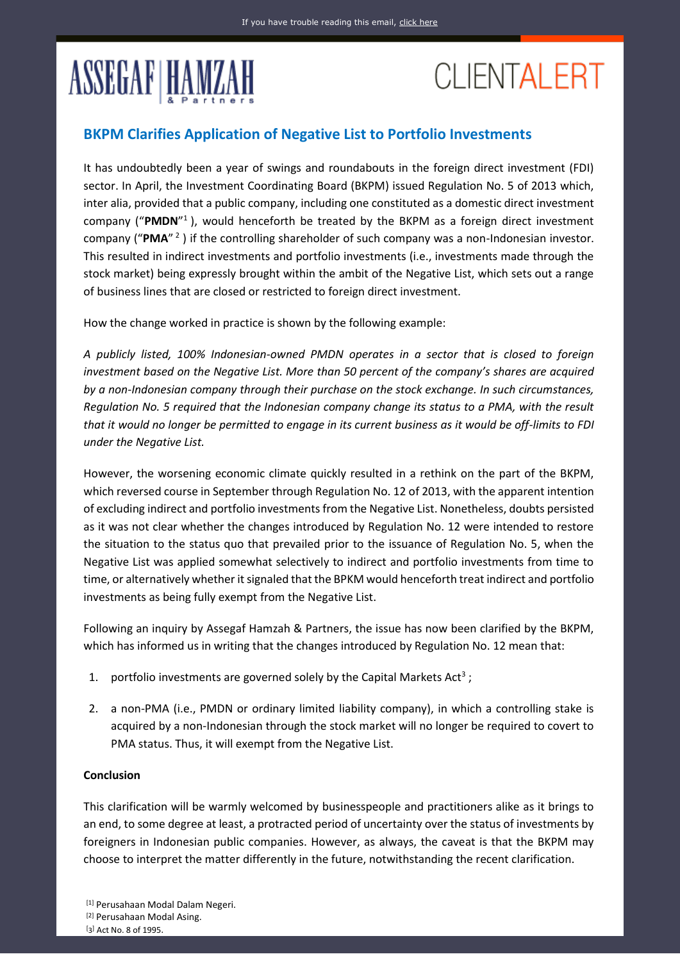## **ASSEGAF HAMZAH**

## **CLIENTALERT**

## **BKPM Clarifies Application of Negative List to Portfolio Investments**

It has undoubtedly been a year of swings and roundabouts in the foreign direct investment (FDI) sector. In April, the Investment Coordinating Board (BKPM) issued Regulation No. 5 of 2013 which, inter alia, provided that a public company, including one constituted as a domestic direct investment company ("**PMDN**" <sup>1</sup>), would henceforth be treated by the BKPM as a foreign direct investment company ("**PMA**" 2 ) if the controlling shareholder of such company was a non-Indonesian investor. This resulted in indirect investments and portfolio investments (i.e., investments made through the stock market) being expressly brought within the ambit of the Negative List, which sets out a range of business lines that are closed or restricted to foreign direct investment.

How the change worked in practice is shown by the following example:

*A publicly listed, 100% Indonesian-owned PMDN operates in a sector that is closed to foreign investment based on the Negative List. More than 50 percent of the company's shares are acquired by a non-Indonesian company through their purchase on the stock exchange. In such circumstances, Regulation No. 5 required that the Indonesian company change its status to a PMA, with the result that it would no longer be permitted to engage in its current business as it would be off-limits to FDI under the Negative List.*

However, the worsening economic climate quickly resulted in a rethink on the part of the BKPM, which reversed course in September through Regulation No. 12 of 2013, with the apparent intention of excluding indirect and portfolio investments from the Negative List. Nonetheless, doubts persisted as it was not clear whether the changes introduced by Regulation No. 12 were intended to restore the situation to the status quo that prevailed prior to the issuance of Regulation No. 5, when the Negative List was applied somewhat selectively to indirect and portfolio investments from time to time, or alternatively whether it signaled that the BPKM would henceforth treat indirect and portfolio investments as being fully exempt from the Negative List.

Following an inquiry by Assegaf Hamzah & Partners, the issue has now been clarified by the BKPM, which has informed us in writing that the changes introduced by Regulation No. 12 mean that:

- 1. portfolio investments are governed solely by the Capital Markets Act<sup>3</sup>;
- 2. a non-PMA (i.e., PMDN or ordinary limited liability company), in which a controlling stake is acquired by a non-Indonesian through the stock market will no longer be required to covert to PMA status. Thus, it will exempt from the Negative List.

## **Conclusion**

This clarification will be warmly welcomed by businesspeople and practitioners alike as it brings to an end, to some degree at least, a protracted period of uncertainty over the status of investments by foreigners in Indonesian public companies. However, as always, the caveat is that the BKPM may choose to interpret the matter differently in the future, notwithstanding the recent clarification.